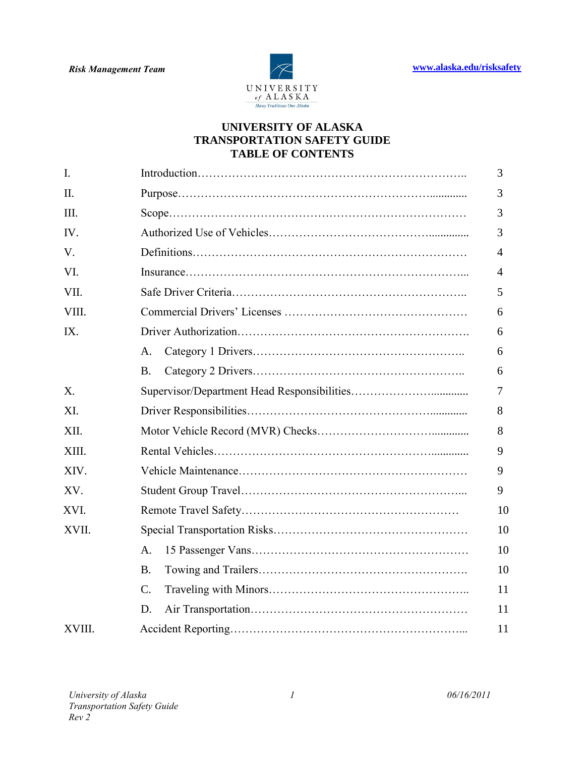

### **UNIVERSITY OF ALASKA TRANSPORTATION SAFETY GUIDE TABLE OF CONTENTS**

| I.     |                 | 3  |
|--------|-----------------|----|
| II.    |                 | 3  |
| Ш.     |                 | 3  |
| IV.    |                 | 3  |
| V.     |                 | 4  |
| VI.    |                 | 4  |
| VII.   |                 | 5  |
| VIII.  |                 | 6  |
| IX.    |                 | 6  |
|        | A.              | 6  |
|        | <b>B.</b>       | 6  |
| X.     |                 | 7  |
| XI.    |                 | 8  |
| XII.   |                 | 8  |
| XIII.  |                 | 9  |
| XIV.   |                 | 9  |
| XV.    |                 | 9  |
| XVI.   |                 | 10 |
| XVII.  |                 | 10 |
|        | A.              | 10 |
|        | <b>B.</b>       | 10 |
|        | $\mathcal{C}$ . | 11 |
|        | D.              | 11 |
| XVIII. |                 | 11 |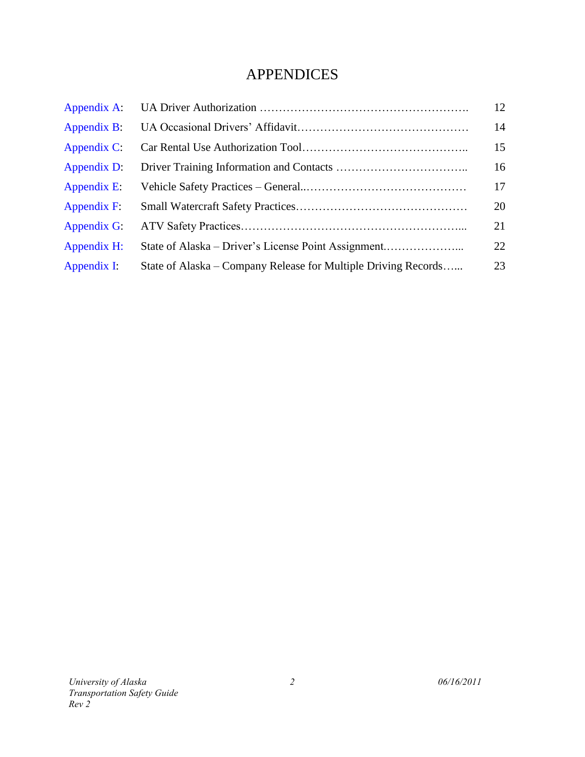# APPENDICES

| Appendix A:    |                                                                | 12 |
|----------------|----------------------------------------------------------------|----|
| Appendix B:    |                                                                | 14 |
| Appendix $C$ : |                                                                | 15 |
| Appendix D:    |                                                                | 16 |
| Appendix E:    |                                                                | 17 |
| Appendix F:    |                                                                | 20 |
| Appendix G:    |                                                                | 21 |
| Appendix H:    |                                                                | 22 |
| Appendix I:    | State of Alaska – Company Release for Multiple Driving Records | 23 |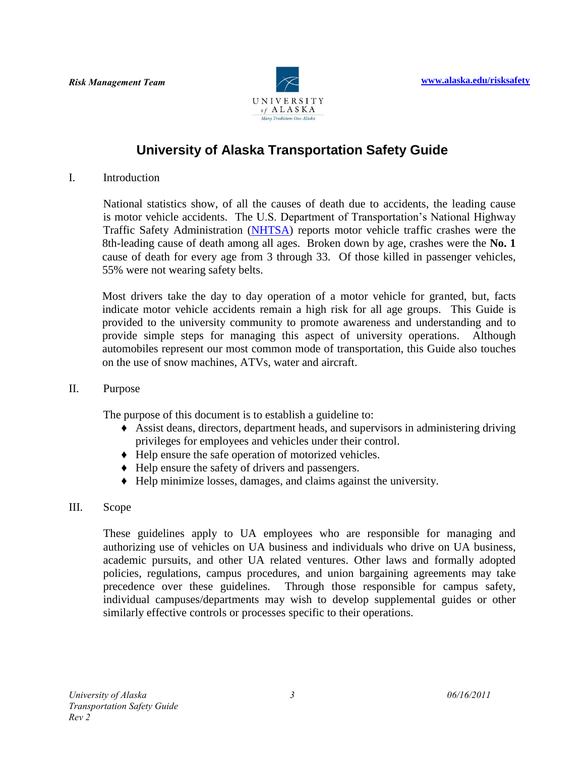

## **University of Alaska Transportation Safety Guide**

I. Introduction

National statistics show, of all the causes of death due to accidents, the leading cause is motor vehicle accidents. The U.S. Department of Transportation's National Highway Traffic Safety Administration [\(NHTSA\)](http://www.nhtsa.gov/) reports motor vehicle traffic crashes were the 8th-leading cause of death among all ages. Broken down by age, crashes were the **No. 1** cause of death for every age from 3 through 33. Of those killed in passenger vehicles, 55% were not wearing safety belts.

Most drivers take the day to day operation of a motor vehicle for granted, but, facts indicate motor vehicle accidents remain a high risk for all age groups. This Guide is provided to the university community to promote awareness and understanding and to provide simple steps for managing this aspect of university operations. Although automobiles represent our most common mode of transportation, this Guide also touches on the use of snow machines, ATVs, water and aircraft.

II. Purpose

The purpose of this document is to establish a guideline to:

- ♦ Assist deans, directors, department heads, and supervisors in administering driving privileges for employees and vehicles under their control.
- ♦ Help ensure the safe operation of motorized vehicles.
- ♦ Help ensure the safety of drivers and passengers.
- ♦ Help minimize losses, damages, and claims against the university.
- III. Scope

These guidelines apply to UA employees who are responsible for managing and authorizing use of vehicles on UA business and individuals who drive on UA business, academic pursuits, and other UA related ventures. Other laws and formally adopted policies, regulations, campus procedures, and union bargaining agreements may take precedence over these guidelines. Through those responsible for campus safety, individual campuses/departments may wish to develop supplemental guides or other similarly effective controls or processes specific to their operations.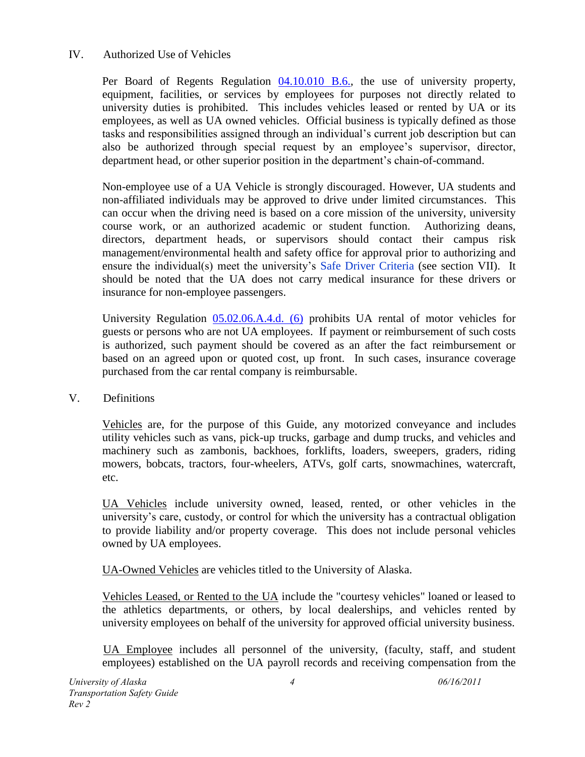### IV. Authorized Use of Vehicles

Per Board of Regents Regulation [04.10.010](http://www.alaska.edu/bor/policy-regulations/) B.6., the use of university property, equipment, facilities, or services by employees for purposes not directly related to university duties is prohibited. This includes vehicles leased or rented by UA or its employees, as well as UA owned vehicles. Official business is typically defined as those tasks and responsibilities assigned through an individual's current job description but can also be authorized through special request by an employee's supervisor, director, department head, or other superior position in the department's chain-of-command.

Non-employee use of a UA Vehicle is strongly discouraged. However, UA students and non-affiliated individuals may be approved to drive under limited circumstances. This can occur when the driving need is based on a core mission of the university, university course work, or an authorized academic or student function. Authorizing deans, directors, department heads, or supervisors should contact their campus risk management/environmental health and safety office for approval prior to authorizing and ensure the individual(s) meet the university's Safe Driver Criteria (see section VII). It should be noted that the UA does not carry medical insurance for these drivers or insurance for non-employee passengers.

University Regulation [05.02.06.A.4.d. \(6\)](http://www.alaska.edu/bor/policy-regulations/) prohibits UA rental of motor vehicles for guests or persons who are not UA employees. If payment or reimbursement of such costs is authorized, such payment should be covered as an after the fact reimbursement or based on an agreed upon or quoted cost, up front. In such cases, insurance coverage purchased from the car rental company is reimbursable.

V. Definitions

Vehicles are, for the purpose of this Guide, any motorized conveyance and includes utility vehicles such as vans, pick-up trucks, garbage and dump trucks, and vehicles and machinery such as zambonis, backhoes, forklifts, loaders, sweepers, graders, riding mowers, bobcats, tractors, four-wheelers, ATVs, golf carts, snowmachines, watercraft, etc.

UA Vehicles include university owned, leased, rented, or other vehicles in the university's care, custody, or control for which the university has a contractual obligation to provide liability and/or property coverage. This does not include personal vehicles owned by UA employees.

UA-Owned Vehicles are vehicles titled to the University of Alaska.

Vehicles Leased, or Rented to the UA include the "courtesy vehicles" loaned or leased to the athletics departments, or others, by local dealerships, and vehicles rented by university employees on behalf of the university for approved official university business.

UA Employee includes all personnel of the university, (faculty, staff, and student employees) established on the UA payroll records and receiving compensation from the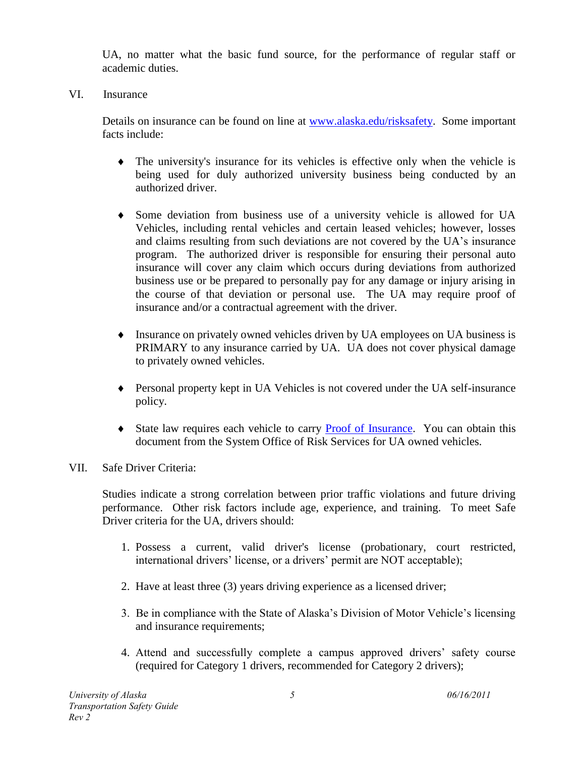UA, no matter what the basic fund source, for the performance of regular staff or academic duties.

VI. Insurance

Details on insurance can be found on line at [www.alaska.edu/risksafety.](http://www.alaska.edu/risksafety) Some important facts include:

- The university's insurance for its vehicles is effective only when the vehicle is being used for duly authorized university business being conducted by an authorized driver.
- Some deviation from business use of a university vehicle is allowed for UA Vehicles, including rental vehicles and certain leased vehicles; however, losses and claims resulting from such deviations are not covered by the UA's insurance program. The authorized driver is responsible for ensuring their personal auto insurance will cover any claim which occurs during deviations from authorized business use or be prepared to personally pay for any damage or injury arising in the course of that deviation or personal use. The UA may require proof of insurance and/or a contractual agreement with the driver.
- Insurance on privately owned vehicles driven by UA employees on UA business is PRIMARY to any insurance carried by UA. UA does not cover physical damage to privately owned vehicles.
- Personal property kept in UA Vehicles is not covered under the UA self-insurance policy.
- State law requires each vehicle to carry **Proof of Insurance**. You can obtain this document from the System Office of Risk Services for UA owned vehicles.
- VII. Safe Driver Criteria:

Studies indicate a strong correlation between prior traffic violations and future driving performance. Other risk factors include age, experience, and training. To meet Safe Driver criteria for the UA, drivers should:

- 1. Possess a current, valid driver's license (probationary, court restricted, international drivers' license, or a drivers' permit are NOT acceptable);
- 2. Have at least three (3) years driving experience as a licensed driver;
- 3. Be in compliance with the State of Alaska's Division of Motor Vehicle's licensing and insurance requirements;
- 4. Attend and successfully complete a campus approved drivers' safety course (required for Category 1 drivers, recommended for Category 2 drivers);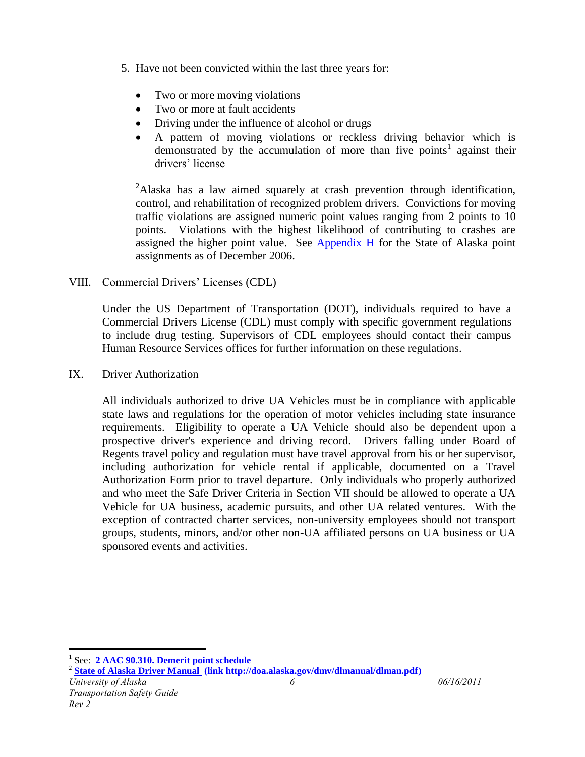- 5. Have not been convicted within the last three years for:
	- Two or more moving violations
	- Two or more at fault accidents
	- Driving under the influence of alcohol or drugs
	- A pattern of moving violations or reckless driving behavior which is demonstrated by the accumulation of more than five points<sup>1</sup> against their drivers' license

<sup>2</sup>Alaska has a law aimed squarely at crash prevention through identification, control, and rehabilitation of recognized problem drivers. Convictions for moving traffic violations are assigned numeric point values ranging from 2 points to 10 points. Violations with the highest likelihood of contributing to crashes are assigned the higher point value. See Appendix H for the State of Alaska point assignments as of December 2006.

VIII. Commercial Drivers' Licenses (CDL)

Under the US Department of Transportation (DOT), individuals required to have a Commercial Drivers License (CDL) must comply with specific government regulations to include drug testing. Supervisors of CDL employees should contact their campus Human Resource Services offices for further information on these regulations.

IX. Driver Authorization

All individuals authorized to drive UA Vehicles must be in compliance with applicable state laws and regulations for the operation of motor vehicles including state insurance requirements. Eligibility to operate a UA Vehicle should also be dependent upon a prospective driver's experience and driving record. Drivers falling under Board of Regents travel policy and regulation must have travel approval from his or her supervisor, including authorization for vehicle rental if applicable, documented on a Travel Authorization Form prior to travel departure. Only individuals who properly authorized and who meet the Safe Driver Criteria in Section VII should be allowed to operate a UA Vehicle for UA business, academic pursuits, and other UA related ventures. With the exception of contracted charter services, non-university employees should not transport groups, students, minors, and/or other non-UA affiliated persons on UA business or UA sponsored events and activities.

 $\overline{a}$ 

<sup>&</sup>lt;sup>1</sup> See: **2 AAC 90.310. Demerit point schedule** 

<sup>2</sup> **[State of Alaska Driver Manual \(](http://doa.alaska.gov/dmv/dlmanual/dlman.pdf)link http://doa.alaska.gov/dmv/dlmanual/dlman.pdf)**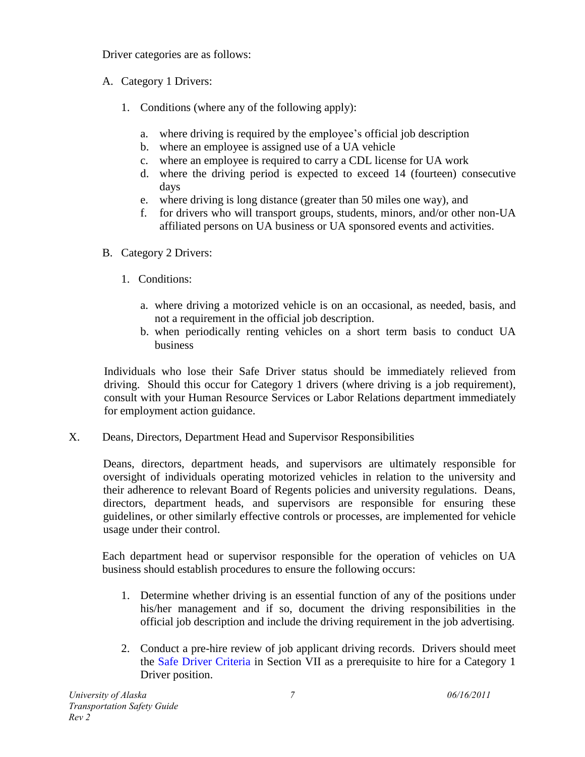Driver categories are as follows:

- A. Category 1 Drivers:
	- 1. Conditions (where any of the following apply):
		- a. where driving is required by the employee's official job description
		- b. where an employee is assigned use of a UA vehicle
		- c. where an employee is required to carry a CDL license for UA work
		- d. where the driving period is expected to exceed 14 (fourteen) consecutive days
		- e. where driving is long distance (greater than 50 miles one way), and
		- f. for drivers who will transport groups, students, minors, and/or other non-UA affiliated persons on UA business or UA sponsored events and activities.
- B. Category 2 Drivers:
	- 1. Conditions:
		- a. where driving a motorized vehicle is on an occasional, as needed, basis, and not a requirement in the official job description.
		- b. when periodically renting vehicles on a short term basis to conduct UA business

Individuals who lose their Safe Driver status should be immediately relieved from driving. Should this occur for Category 1 drivers (where driving is a job requirement), consult with your Human Resource Services or Labor Relations department immediately for employment action guidance.

X. Deans, Directors, Department Head and Supervisor Responsibilities

Deans, directors, department heads, and supervisors are ultimately responsible for oversight of individuals operating motorized vehicles in relation to the university and their adherence to relevant Board of Regents policies and university regulations. Deans, directors, department heads, and supervisors are responsible for ensuring these guidelines, or other similarly effective controls or processes, are implemented for vehicle usage under their control.

Each department head or supervisor responsible for the operation of vehicles on UA business should establish procedures to ensure the following occurs:

- 1. Determine whether driving is an essential function of any of the positions under his/her management and if so, document the driving responsibilities in the official job description and include the driving requirement in the job advertising.
- 2. Conduct a pre-hire review of job applicant driving records. Drivers should meet the Safe Driver Criteria in Section VII as a prerequisite to hire for a Category 1 Driver position.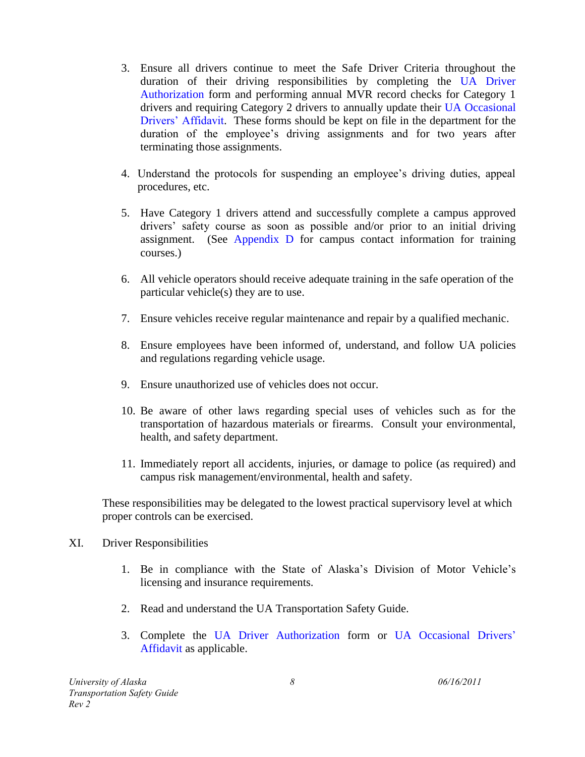- 3. Ensure all drivers continue to meet the Safe Driver Criteria throughout the duration of their driving responsibilities by completing the UA Driver Authorization form and performing annual MVR record checks for Category 1 drivers and requiring Category 2 drivers to annually update their UA Occasional Drivers' Affidavit. These forms should be kept on file in the department for the duration of the employee's driving assignments and for two years after terminating those assignments.
- 4. Understand the protocols for suspending an employee's driving duties, appeal procedures, etc.
- 5. Have Category 1 drivers attend and successfully complete a campus approved drivers' safety course as soon as possible and/or prior to an initial driving assignment. (See Appendix D for campus contact information for training courses.)
- 6. All vehicle operators should receive adequate training in the safe operation of the particular vehicle(s) they are to use.
- 7. Ensure vehicles receive regular maintenance and repair by a qualified mechanic.
- 8. Ensure employees have been informed of, understand, and follow UA policies and regulations regarding vehicle usage.
- 9. Ensure unauthorized use of vehicles does not occur.
- 10. Be aware of other laws regarding special uses of vehicles such as for the transportation of hazardous materials or firearms. Consult your environmental, health, and safety department.
- 11. Immediately report all accidents, injuries, or damage to police (as required) and campus risk management/environmental, health and safety.

These responsibilities may be delegated to the lowest practical supervisory level at which proper controls can be exercised.

- XI. Driver Responsibilities
	- 1. Be in compliance with the State of Alaska's Division of Motor Vehicle's licensing and insurance requirements.
	- 2. Read and understand the UA Transportation Safety Guide.
	- 3. Complete the UA Driver Authorization form or UA Occasional Drivers' Affidavit as applicable.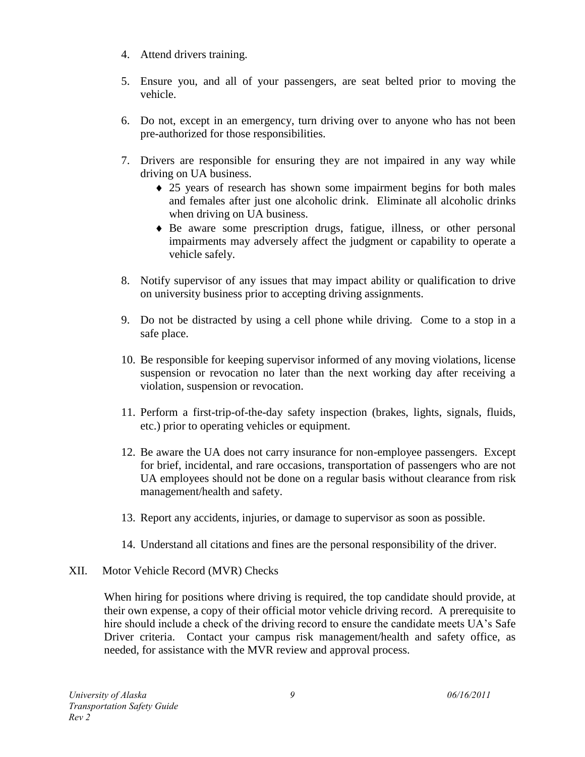- 4. Attend drivers training.
- 5. Ensure you, and all of your passengers, are seat belted prior to moving the vehicle.
- 6. Do not, except in an emergency, turn driving over to anyone who has not been pre-authorized for those responsibilities.
- 7. Drivers are responsible for ensuring they are not impaired in any way while driving on UA business.
	- 25 years of research has shown some impairment begins for both males and females after just one alcoholic drink. Eliminate all alcoholic drinks when driving on UA business.
	- Be aware some prescription drugs, fatigue, illness, or other personal impairments may adversely affect the judgment or capability to operate a vehicle safely.
- 8. Notify supervisor of any issues that may impact ability or qualification to drive on university business prior to accepting driving assignments.
- 9. Do not be distracted by using a cell phone while driving. Come to a stop in a safe place.
- 10. Be responsible for keeping supervisor informed of any moving violations, license suspension or revocation no later than the next working day after receiving a violation, suspension or revocation.
- 11. Perform a first-trip-of-the-day safety inspection (brakes, lights, signals, fluids, etc.) prior to operating vehicles or equipment.
- 12. Be aware the UA does not carry insurance for non-employee passengers. Except for brief, incidental, and rare occasions, transportation of passengers who are not UA employees should not be done on a regular basis without clearance from risk management/health and safety.
- 13. Report any accidents, injuries, or damage to supervisor as soon as possible.
- 14. Understand all citations and fines are the personal responsibility of the driver.

### XII. Motor Vehicle Record (MVR) Checks

When hiring for positions where driving is required, the top candidate should provide, at their own expense, a copy of their official motor vehicle driving record. A prerequisite to hire should include a check of the driving record to ensure the candidate meets UA's Safe Driver criteria. Contact your campus risk management/health and safety office, as needed, for assistance with the MVR review and approval process.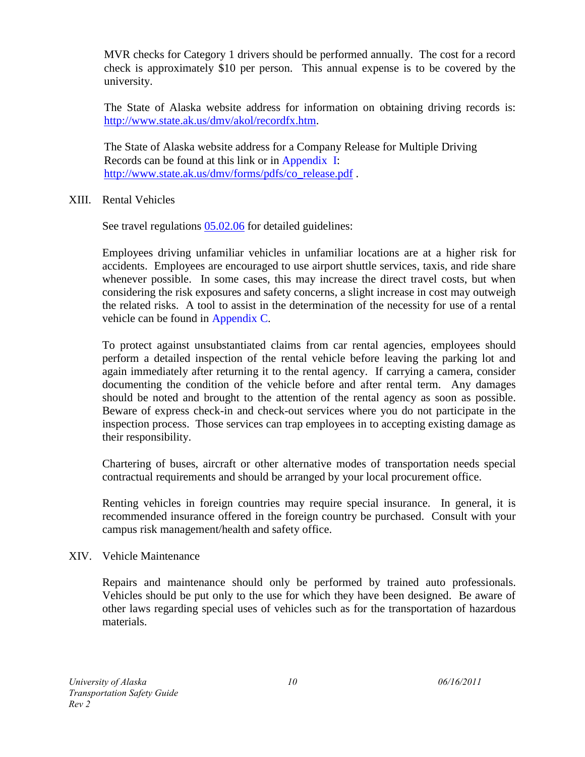MVR checks for Category 1 drivers should be performed annually. The cost for a record check is approximately \$10 per person. This annual expense is to be covered by the university.

The State of Alaska website address for information on obtaining driving records is: [http://www.state.ak.us/dmv/akol/recordfx.htm.](http://www.state.ak.us/dmv/akol/recordfx.htm)

The State of Alaska website address for a Company Release for Multiple Driving Records can be found at this link or in Appendix I: [http://www.state.ak.us/dmv/forms/pdfs/co\\_release.pdf](http://www.state.ak.us/dmv/forms/pdfs/co_release.pdf) .

### XIII. Rental Vehicles

See travel regulations  $05.02.06$  for detailed guidelines:

Employees driving unfamiliar vehicles in unfamiliar locations are at a higher risk for accidents. Employees are encouraged to use airport shuttle services, taxis, and ride share whenever possible. In some cases, this may increase the direct travel costs, but when considering the risk exposures and safety concerns, a slight increase in cost may outweigh the related risks. A tool to assist in the determination of the necessity for use of a rental vehicle can be found in Appendix C.

To protect against unsubstantiated claims from car rental agencies, employees should perform a detailed inspection of the rental vehicle before leaving the parking lot and again immediately after returning it to the rental agency. If carrying a camera, consider documenting the condition of the vehicle before and after rental term. Any damages should be noted and brought to the attention of the rental agency as soon as possible. Beware of express check-in and check-out services where you do not participate in the inspection process. Those services can trap employees in to accepting existing damage as their responsibility.

Chartering of buses, aircraft or other alternative modes of transportation needs special contractual requirements and should be arranged by your local procurement office.

Renting vehicles in foreign countries may require special insurance. In general, it is recommended insurance offered in the foreign country be purchased. Consult with your campus risk management/health and safety office.

#### XIV. Vehicle Maintenance

Repairs and maintenance should only be performed by trained auto professionals. Vehicles should be put only to the use for which they have been designed. Be aware of other laws regarding special uses of vehicles such as for the transportation of hazardous materials.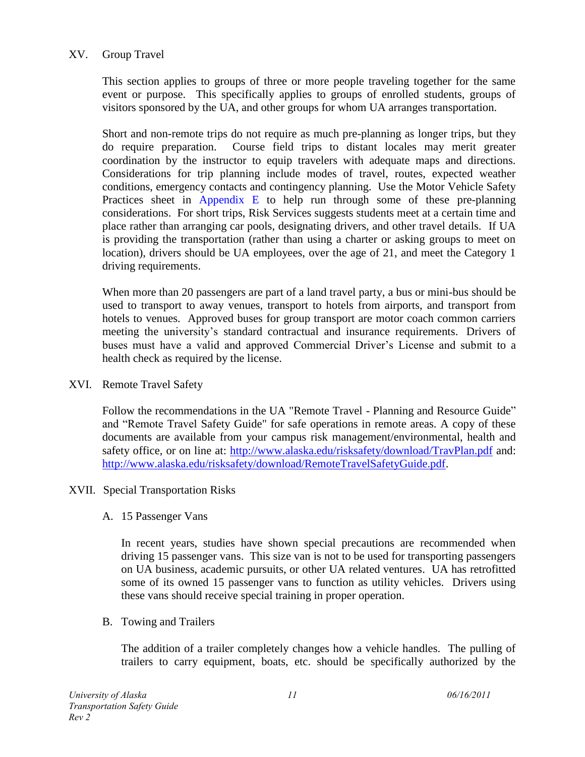### XV. Group Travel

This section applies to groups of three or more people traveling together for the same event or purpose. This specifically applies to groups of enrolled students, groups of visitors sponsored by the UA, and other groups for whom UA arranges transportation.

Short and non-remote trips do not require as much pre-planning as longer trips, but they do require preparation. Course field trips to distant locales may merit greater coordination by the instructor to equip travelers with adequate maps and directions. Considerations for trip planning include modes of travel, routes, expected weather conditions, emergency contacts and contingency planning. Use the Motor Vehicle Safety Practices sheet in Appendix E to help run through some of these pre-planning considerations. For short trips, Risk Services suggests students meet at a certain time and place rather than arranging car pools, designating drivers, and other travel details. If UA is providing the transportation (rather than using a charter or asking groups to meet on location), drivers should be UA employees, over the age of 21, and meet the Category 1 driving requirements.

When more than 20 passengers are part of a land travel party, a bus or mini-bus should be used to transport to away venues, transport to hotels from airports, and transport from hotels to venues. Approved buses for group transport are motor coach common carriers meeting the university's standard contractual and insurance requirements. Drivers of buses must have a valid and approved Commercial Driver's License and submit to a health check as required by the license.

XVI. Remote Travel Safety

Follow the recommendations in the UA "Remote Travel - Planning and Resource Guide" and "Remote Travel Safety Guide" for safe operations in remote areas. A copy of these documents are available from your campus risk management/environmental, health and safety office, or on line at: <http://www.alaska.edu/risksafety/download/TravPlan.pdf> and: [http://www.alaska.edu/risksafety/download/RemoteTravelSafetyGuide.pdf.](http://www.alaska.edu/risksafety/download/RemoteTravelSafetyGuide.pdf)

#### XVII. Special Transportation Risks

#### A. 15 Passenger Vans

In recent years, studies have shown special precautions are recommended when driving 15 passenger vans. This size van is not to be used for transporting passengers on UA business, academic pursuits, or other UA related ventures. UA has retrofitted some of its owned 15 passenger vans to function as utility vehicles. Drivers using these vans should receive special training in proper operation.

#### B. Towing and Trailers

The addition of a trailer completely changes how a vehicle handles. The pulling of trailers to carry equipment, boats, etc. should be specifically authorized by the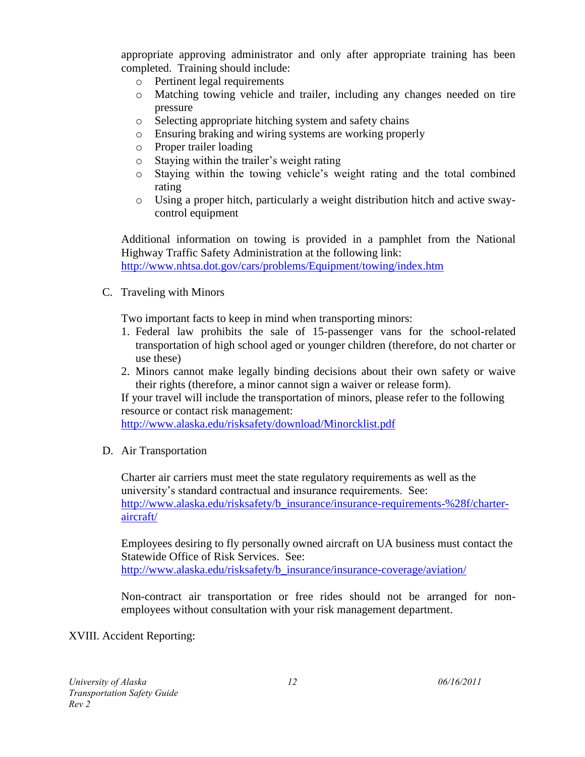appropriate approving administrator and only after appropriate training has been completed. Training should include:

- o Pertinent legal requirements
- o Matching towing vehicle and trailer, including any changes needed on tire pressure
- o Selecting appropriate hitching system and safety chains
- o Ensuring braking and wiring systems are working properly
- o Proper trailer loading
- o Staying within the trailer's weight rating
- o Staying within the towing vehicle's weight rating and the total combined rating
- o Using a proper hitch, particularly a weight distribution hitch and active swaycontrol equipment

Additional information on towing is provided in a pamphlet from the National Highway Traffic Safety Administration at the following link: <http://www.nhtsa.dot.gov/cars/problems/Equipment/towing/index.htm>

C. Traveling with Minors

Two important facts to keep in mind when transporting minors:

- 1. Federal law prohibits the sale of 15-passenger vans for the school-related transportation of high school aged or younger children (therefore, do not charter or use these)
- 2. Minors cannot make legally binding decisions about their own safety or waive their rights (therefore, a minor cannot sign a waiver or release form).

If your travel will include the transportation of minors, please refer to the following resource or contact risk management:

<http://www.alaska.edu/risksafety/download/Minorcklist.pdf>

D. Air Transportation

Charter air carriers must meet the state regulatory requirements as well as the university's standard contractual and insurance requirements. See: [http://www.alaska.edu/risksafety/b\\_insurance/insurance-requirements-%28f/charter](http://www.alaska.edu/risksafety/b_insurance/insurance-requirements-%28f/charter-aircraft/)[aircraft/](http://www.alaska.edu/risksafety/b_insurance/insurance-requirements-%28f/charter-aircraft/)

Employees desiring to fly personally owned aircraft on UA business must contact the Statewide Office of Risk Services. See: [http://www.alaska.edu/risksafety/b\\_insurance/insurance-coverage/aviation/](http://www.alaska.edu/risksafety/b_insurance/insurance-coverage/aviation/)

Non-contract air transportation or free rides should not be arranged for nonemployees without consultation with your risk management department.

### XVIII. Accident Reporting: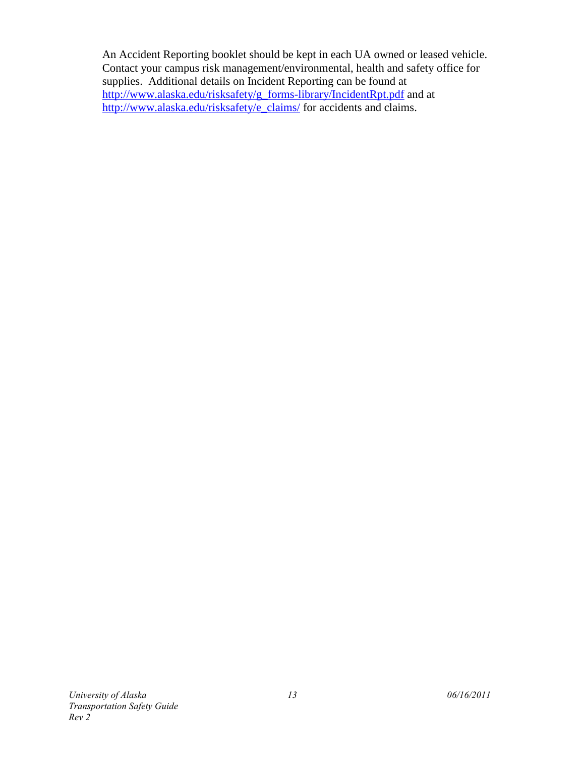An Accident Reporting booklet should be kept in each UA owned or leased vehicle. Contact your campus risk management/environmental, health and safety office for supplies. Additional details on Incident Reporting can be found at [http://www.alaska.edu/risksafety/g\\_forms-library/IncidentRpt.pdf](http://www.alaska.edu/risksafety/g_forms-library/IncidentRpt.pdf) and at [http://www.alaska.edu/risksafety/e\\_claims/](http://www.alaska.edu/risksafety/e_claims/) for accidents and claims.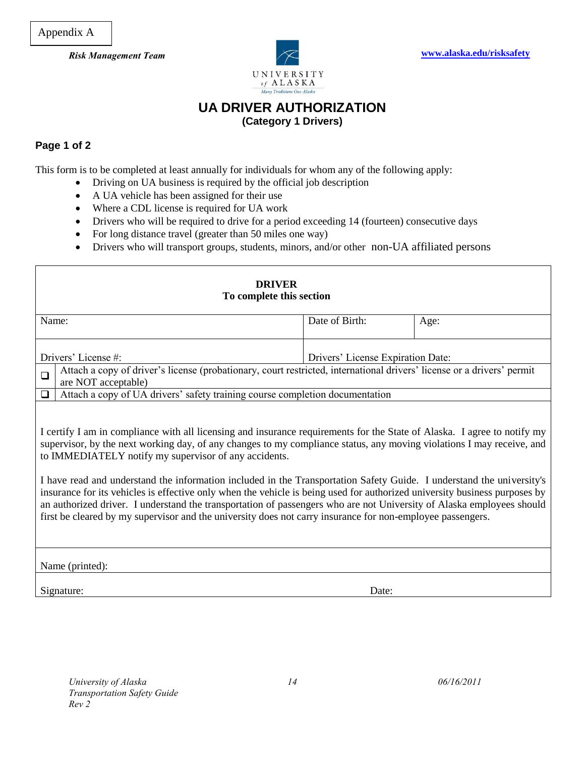Appendix A



## **UA DRIVER AUTHORIZATION (Category 1 Drivers)**

#### **Page 1 of 2**

This form is to be completed at least annually for individuals for whom any of the following apply:

- Driving on UA business is required by the official job description
- A UA vehicle has been assigned for their use
- Where a CDL license is required for UA work
- Drivers who will be required to drive for a period exceeding 14 (fourteen) consecutive days
- For long distance travel (greater than 50 miles one way)
- Drivers who will transport groups, students, minors, and/or other non-UA affiliated persons

| <b>DRIVER</b><br>To complete this section                                                                                                                                                                                                                                                                                                                                                                                                                                                                                                                                                                                                                                                                                                                                                                |                                                                                                                                               |                                   |      |  |
|----------------------------------------------------------------------------------------------------------------------------------------------------------------------------------------------------------------------------------------------------------------------------------------------------------------------------------------------------------------------------------------------------------------------------------------------------------------------------------------------------------------------------------------------------------------------------------------------------------------------------------------------------------------------------------------------------------------------------------------------------------------------------------------------------------|-----------------------------------------------------------------------------------------------------------------------------------------------|-----------------------------------|------|--|
| Name:                                                                                                                                                                                                                                                                                                                                                                                                                                                                                                                                                                                                                                                                                                                                                                                                    |                                                                                                                                               | Date of Birth:                    | Age: |  |
|                                                                                                                                                                                                                                                                                                                                                                                                                                                                                                                                                                                                                                                                                                                                                                                                          | Drivers' License #:                                                                                                                           | Drivers' License Expiration Date: |      |  |
| $\Box$                                                                                                                                                                                                                                                                                                                                                                                                                                                                                                                                                                                                                                                                                                                                                                                                   | Attach a copy of driver's license (probationary, court restricted, international drivers' license or a drivers' permit<br>are NOT acceptable) |                                   |      |  |
| $\Box$                                                                                                                                                                                                                                                                                                                                                                                                                                                                                                                                                                                                                                                                                                                                                                                                   | Attach a copy of UA drivers' safety training course completion documentation                                                                  |                                   |      |  |
| I certify I am in compliance with all licensing and insurance requirements for the State of Alaska. I agree to notify my<br>supervisor, by the next working day, of any changes to my compliance status, any moving violations I may receive, and<br>to IMMEDIATELY notify my supervisor of any accidents.<br>I have read and understand the information included in the Transportation Safety Guide. I understand the university's<br>insurance for its vehicles is effective only when the vehicle is being used for authorized university business purposes by<br>an authorized driver. I understand the transportation of passengers who are not University of Alaska employees should<br>first be cleared by my supervisor and the university does not carry insurance for non-employee passengers. |                                                                                                                                               |                                   |      |  |
|                                                                                                                                                                                                                                                                                                                                                                                                                                                                                                                                                                                                                                                                                                                                                                                                          | Name (printed):                                                                                                                               |                                   |      |  |
|                                                                                                                                                                                                                                                                                                                                                                                                                                                                                                                                                                                                                                                                                                                                                                                                          | Signature:                                                                                                                                    | Date:                             |      |  |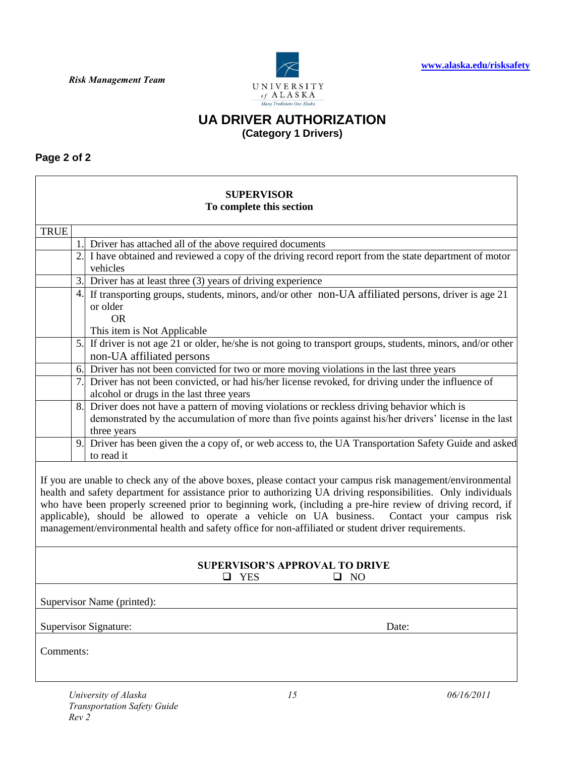

### **UA DRIVER AUTHORIZATION (Category 1 Drivers)**

**Page 2 of 2**

## **SUPERVISOR To complete this section** TRUE 1. Driver has attached all of the above required documents 2. I have obtained and reviewed a copy of the driving record report from the state department of motor vehicles 3. Driver has at least three (3) years of driving experience 4. If transporting groups, students, minors, and/or other non-UA affiliated persons, driver is age 21 or older OR This item is Not Applicable 5. If driver is not age 21 or older, he/she is not going to transport groups, students, minors, and/or other non-UA affiliated persons 6. Driver has not been convicted for two or more moving violations in the last three years 7. Driver has not been convicted, or had his/her license revoked, for driving under the influence of alcohol or drugs in the last three years 8. Driver does not have a pattern of moving violations or reckless driving behavior which is demonstrated by the accumulation of more than five points against his/her drivers' license in the last three years 9. Driver has been given the a copy of, or web access to, the UA Transportation Safety Guide and asked to read it If you are unable to check any of the above boxes, please contact your campus risk management/environmental health and safety department for assistance prior to authorizing UA driving responsibilities. Only individuals who have been properly screened prior to beginning work, (including a pre-hire review of driving record, if applicable), should be allowed to operate a vehicle on UA business. Contact your campus risk management/environmental health and safety office for non-affiliated or student driver requirements. **SUPERVISOR'S APPROVAL TO DRIVE**  $\Box$  YES  $\Box$  NO Supervisor Name (printed): Supervisor Signature: Date: Comments: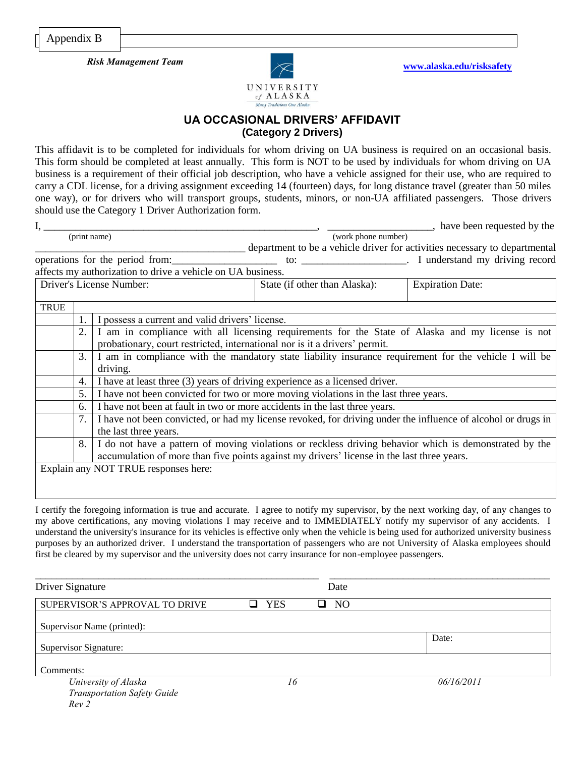

### **UA OCCASIONAL DRIVERS' AFFIDAVIT (Category 2 Drivers)**

This affidavit is to be completed for individuals for whom driving on UA business is required on an occasional basis. This form should be completed at least annually. This form is NOT to be used by individuals for whom driving on UA business is a requirement of their official job description, who have a vehicle assigned for their use, who are required to carry a CDL license, for a driving assignment exceeding 14 (fourteen) days, for long distance travel (greater than 50 miles one way), or for drivers who will transport groups, students, minors, or non-UA affiliated passengers. Those drivers should use the Category 1 Driver Authorization form.

|              |                                                                                            |                                                                                                              |                               |  | <sub>1</sub> , have been requested by the                                  |
|--------------|--------------------------------------------------------------------------------------------|--------------------------------------------------------------------------------------------------------------|-------------------------------|--|----------------------------------------------------------------------------|
| (print name) |                                                                                            |                                                                                                              | (work phone number)           |  |                                                                            |
|              |                                                                                            |                                                                                                              |                               |  | department to be a vehicle driver for activities necessary to departmental |
|              |                                                                                            | operations for the period from:                                                                              |                               |  |                                                                            |
|              |                                                                                            | affects my authorization to drive a vehicle on UA business.                                                  |                               |  |                                                                            |
|              |                                                                                            | Driver's License Number:                                                                                     | State (if other than Alaska): |  | <b>Expiration Date:</b>                                                    |
|              |                                                                                            |                                                                                                              |                               |  |                                                                            |
| <b>TRUE</b>  |                                                                                            |                                                                                                              |                               |  |                                                                            |
|              |                                                                                            | I possess a current and valid drivers' license.                                                              |                               |  |                                                                            |
|              | 2.                                                                                         | I am in compliance with all licensing requirements for the State of Alaska and my license is not             |                               |  |                                                                            |
|              |                                                                                            | probationary, court restricted, international nor is it a drivers' permit.                                   |                               |  |                                                                            |
|              | 3.                                                                                         | I am in compliance with the mandatory state liability insurance requirement for the vehicle I will be        |                               |  |                                                                            |
|              |                                                                                            | driving.                                                                                                     |                               |  |                                                                            |
|              | 4.                                                                                         | I have at least three (3) years of driving experience as a licensed driver.                                  |                               |  |                                                                            |
|              | 5.<br>I have not been convicted for two or more moving violations in the last three years. |                                                                                                              |                               |  |                                                                            |
|              | I have not been at fault in two or more accidents in the last three years.<br>6.           |                                                                                                              |                               |  |                                                                            |
|              | 7.                                                                                         | I have not been convicted, or had my license revoked, for driving under the influence of alcohol or drugs in |                               |  |                                                                            |
|              |                                                                                            | the last three years.                                                                                        |                               |  |                                                                            |
|              | 8.                                                                                         | I do not have a pattern of moving violations or reckless driving behavior which is demonstrated by the       |                               |  |                                                                            |
|              | accumulation of more than five points against my drivers' license in the last three years. |                                                                                                              |                               |  |                                                                            |
|              |                                                                                            | Explain any NOT TRUE responses here:                                                                         |                               |  |                                                                            |
|              |                                                                                            |                                                                                                              |                               |  |                                                                            |
|              |                                                                                            |                                                                                                              |                               |  |                                                                            |

I certify the foregoing information is true and accurate. I agree to notify my supervisor, by the next working day, of any changes to my above certifications, any moving violations I may receive and to IMMEDIATELY notify my supervisor of any accidents. I understand the university's insurance for its vehicles is effective only when the vehicle is being used for authorized university business purposes by an authorized driver. I understand the transportation of passengers who are not University of Alaska employees should first be cleared by my supervisor and the university does not carry insurance for non-employee passengers.

| Driver Signature                                                   |            | Date           |            |
|--------------------------------------------------------------------|------------|----------------|------------|
| SUPERVISOR'S APPROVAL TO DRIVE                                     | <b>YES</b> | N <sub>O</sub> |            |
| Supervisor Name (printed):                                         |            |                |            |
| Supervisor Signature:                                              |            |                | Date:      |
| Comments:                                                          |            |                |            |
| University of Alaska<br><b>Transportation Safety Guide</b><br>Rev2 | 16         |                | 06/16/2011 |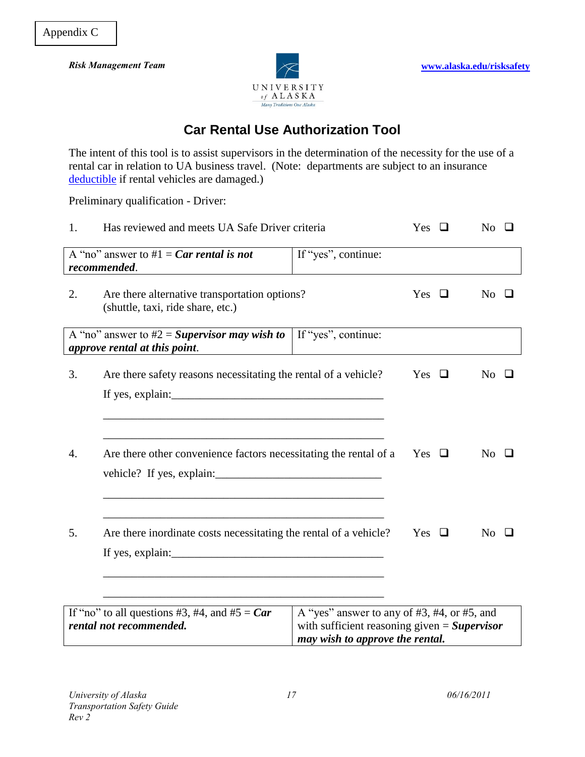

# **Car Rental Use Authorization Tool**

The intent of this tool is to assist supervisors in the determination of the necessity for the use of a rental car in relation to UA business travel. (Note: departments are subject to an insurance [deductible](http://www.alaska.edu/risksafety/b_insurance/department-deductibles/) if rental vehicles are damaged.)

Preliminary qualification - Driver:

| 1. | Has reviewed and meets UA Safe Driver criteria                                     |                                                   |               | $No$ $\Box$                     |
|----|------------------------------------------------------------------------------------|---------------------------------------------------|---------------|---------------------------------|
|    | A "no" answer to #1 = Car rental is not<br>recommended.                            | If "yes", continue:                               |               |                                 |
| 2. | Are there alternative transportation options?<br>(shuttle, taxi, ride share, etc.) |                                                   | Yes<br>$\Box$ | N <sub>0</sub>                  |
|    | A "no" answer to $#2 =$ Supervisor may wish to<br>approve rental at this point.    | If "yes", continue:                               |               |                                 |
| 3. | Are there safety reasons necessitating the rental of a vehicle?                    |                                                   | Yes $\Box$    | No                              |
|    |                                                                                    |                                                   |               |                                 |
|    |                                                                                    |                                                   |               |                                 |
| 4. | Are there other convenience factors necessitating the rental of a                  |                                                   |               | $\overline{\mathrm{No}}$ $\Box$ |
|    |                                                                                    |                                                   |               |                                 |
| 5. | Are there inordinate costs necessitating the rental of a vehicle?                  |                                                   | Yes $\Box$    | $No$ $\Box$                     |
|    |                                                                                    |                                                   |               |                                 |
|    |                                                                                    |                                                   |               |                                 |
|    |                                                                                    |                                                   |               |                                 |
|    | If "no" to all questions #3, #4, and #5 = $Car$                                    | A "yes" answer to any of $#3, #4$ , or $#5$ , and |               |                                 |
|    | rental not recommended.                                                            | with sufficient reasoning given $=$ Supervisor    |               |                                 |
|    |                                                                                    | may wish to approve the rental.                   |               |                                 |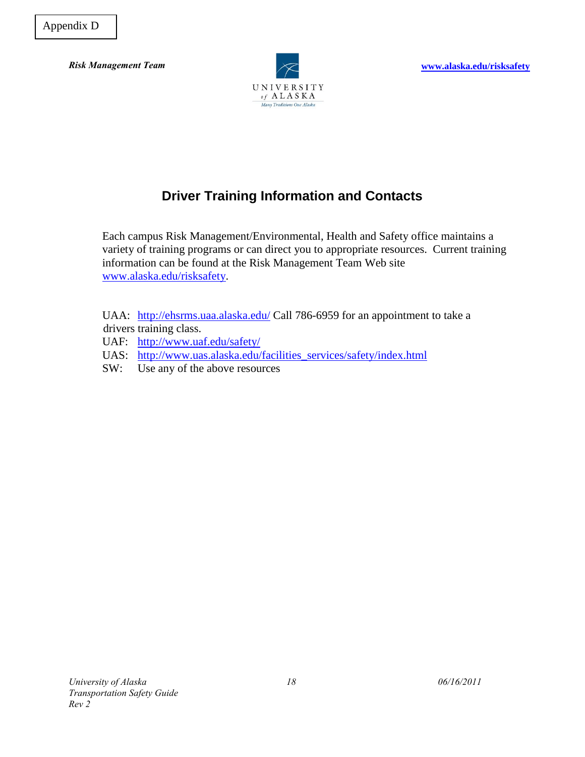

## **Driver Training Information and Contacts**

Each campus Risk Management/Environmental, Health and Safety office maintains a variety of training programs or can direct you to appropriate resources. Current training information can be found at the Risk Management Team Web site [www.alaska.edu/risksafety.](http://www.alaska.edu/risksafety)

UAA: <http://ehsrms.uaa.alaska.edu/> Call 786-6959 for an appointment to take a drivers training class.

- UAF: <http://www.uaf.edu/safety/>
- UAS: [http://www.uas.alaska.edu/facilities\\_services/safety/index.html](http://www.uas.alaska.edu/facilities_services/safety/index.html)
- SW: Use any of the above resources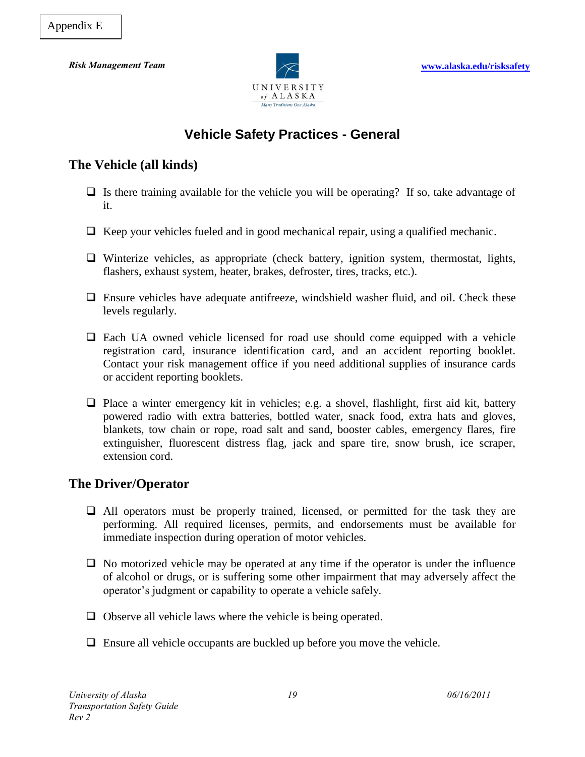

## **Vehicle Safety Practices - General**

## **The Vehicle (all kinds)**

- $\Box$  Is there training available for the vehicle you will be operating? If so, take advantage of it.
- $\Box$  Keep your vehicles fueled and in good mechanical repair, using a qualified mechanic.
- $\Box$  Winterize vehicles, as appropriate (check battery, ignition system, thermostat, lights, flashers, exhaust system, heater, brakes, defroster, tires, tracks, etc.).
- $\Box$  Ensure vehicles have adequate antifreeze, windshield washer fluid, and oil. Check these levels regularly.
- Each UA owned vehicle licensed for road use should come equipped with a vehicle registration card, insurance identification card, and an accident reporting booklet. Contact your risk management office if you need additional supplies of insurance cards or accident reporting booklets.
- $\Box$  Place a winter emergency kit in vehicles; e.g. a shovel, flashlight, first aid kit, battery powered radio with extra batteries, bottled water, snack food, extra hats and gloves, blankets, tow chain or rope, road salt and sand, booster cables, emergency flares, fire extinguisher, fluorescent distress flag, jack and spare tire, snow brush, ice scraper, extension cord.

## **The Driver/Operator**

- $\Box$  All operators must be properly trained, licensed, or permitted for the task they are performing. All required licenses, permits, and endorsements must be available for immediate inspection during operation of motor vehicles.
- $\Box$  No motorized vehicle may be operated at any time if the operator is under the influence of alcohol or drugs, or is suffering some other impairment that may adversely affect the operator's judgment or capability to operate a vehicle safely.
- $\Box$  Observe all vehicle laws where the vehicle is being operated.
- $\Box$  Ensure all vehicle occupants are buckled up before you move the vehicle.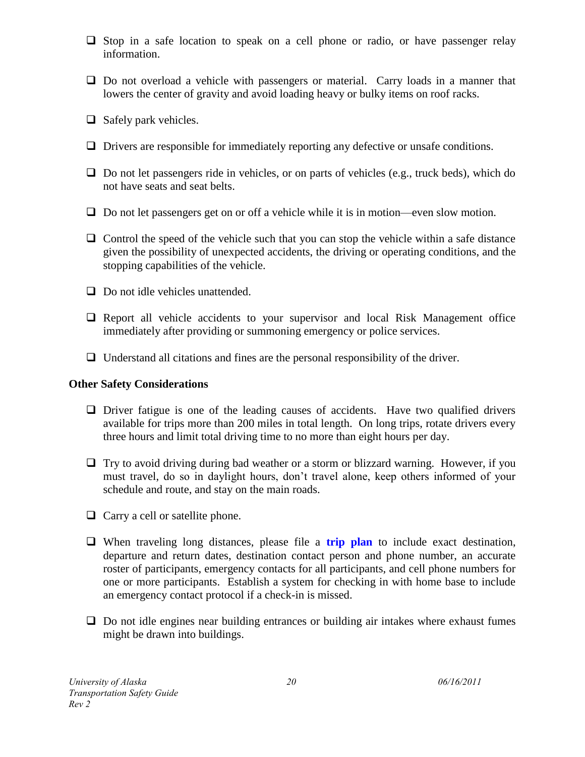- $\Box$  Stop in a safe location to speak on a cell phone or radio, or have passenger relay information.
- $\Box$  Do not overload a vehicle with passengers or material. Carry loads in a manner that lowers the center of gravity and avoid loading heavy or bulky items on roof racks.
- $\Box$  Safely park vehicles.
- $\Box$  Drivers are responsible for immediately reporting any defective or unsafe conditions.
- $\Box$  Do not let passengers ride in vehicles, or on parts of vehicles (e.g., truck beds), which do not have seats and seat belts.
- $\Box$  Do not let passengers get on or off a vehicle while it is in motion—even slow motion.
- $\Box$  Control the speed of the vehicle such that you can stop the vehicle within a safe distance given the possibility of unexpected accidents, the driving or operating conditions, and the stopping capabilities of the vehicle.
- $\Box$  Do not idle vehicles unattended.
- $\Box$  Report all vehicle accidents to your supervisor and local Risk Management office immediately after providing or summoning emergency or police services.
- $\Box$  Understand all citations and fines are the personal responsibility of the driver.

### **Other Safety Considerations**

- $\Box$  Driver fatigue is one of the leading causes of accidents. Have two qualified drivers available for trips more than 200 miles in total length. On long trips, rotate drivers every three hours and limit total driving time to no more than eight hours per day.
- $\Box$  Try to avoid driving during bad weather or a storm or blizzard warning. However, if you must travel, do so in daylight hours, don't travel alone, keep others informed of your schedule and route, and stay on the main roads.
- $\Box$  Carry a cell or satellite phone.
- When traveling long distances, please file a **trip plan** to include exact destination, departure and return dates, destination contact person and phone number, an accurate roster of participants, emergency contacts for all participants, and cell phone numbers for one or more participants. Establish a system for checking in with home base to include an emergency contact protocol if a check-in is missed.
- $\Box$  Do not idle engines near building entrances or building air intakes where exhaust fumes might be drawn into buildings.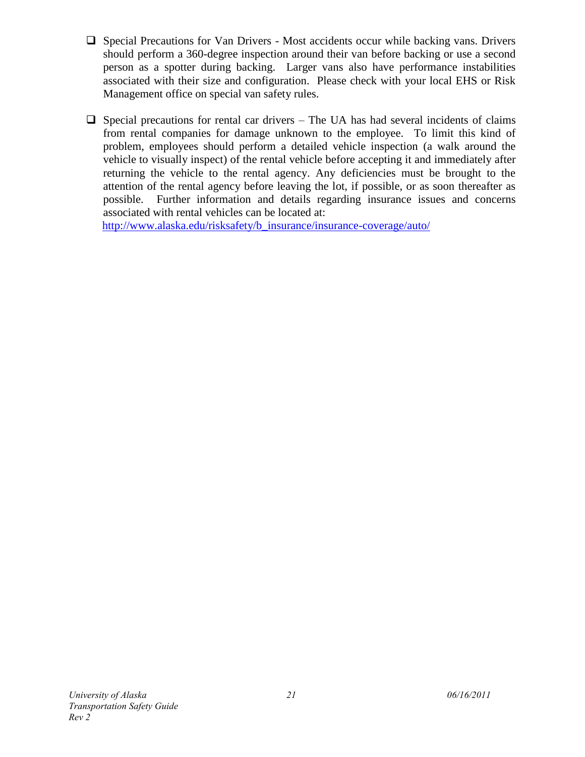- $\Box$  Special Precautions for Van Drivers Most accidents occur while backing vans. Drivers should perform a 360-degree inspection around their van before backing or use a second person as a spotter during backing. Larger vans also have performance instabilities associated with their size and configuration. Please check with your local EHS or Risk Management office on special van safety rules.
- $\Box$  Special precautions for rental car drivers The UA has had several incidents of claims from rental companies for damage unknown to the employee. To limit this kind of problem, employees should perform a detailed vehicle inspection (a walk around the vehicle to visually inspect) of the rental vehicle before accepting it and immediately after returning the vehicle to the rental agency. Any deficiencies must be brought to the attention of the rental agency before leaving the lot, if possible, or as soon thereafter as possible. Further information and details regarding insurance issues and concerns associated with rental vehicles can be located at:

[http://www.alaska.edu/risksafety/b\\_insurance/insurance-coverage/auto/](http://www.alaska.edu/risksafety/b_insurance/insurance-coverage/auto/)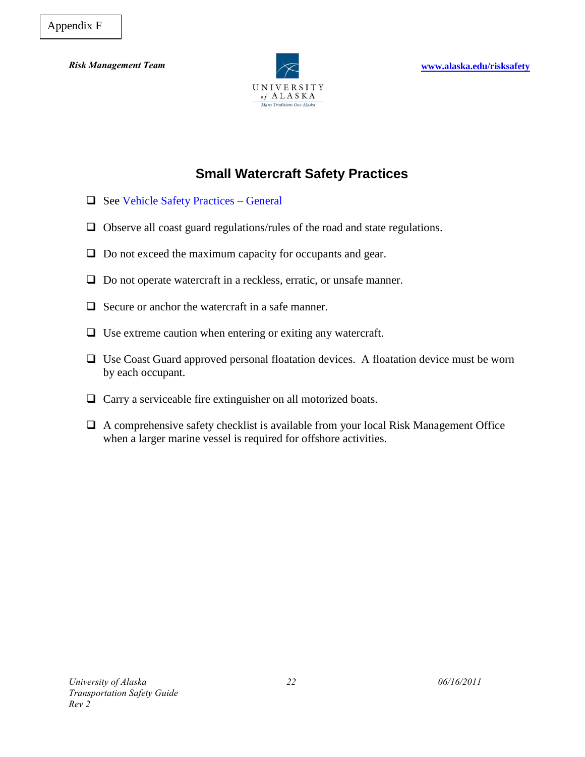

# **Small Watercraft Safety Practices**

- $\Box$  See Vehicle Safety Practices General
- $\Box$  Observe all coast guard regulations/rules of the road and state regulations.
- $\Box$  Do not exceed the maximum capacity for occupants and gear.
- $\Box$  Do not operate watercraft in a reckless, erratic, or unsafe manner.
- $\Box$  Secure or anchor the watercraft in a safe manner.
- $\Box$  Use extreme caution when entering or exiting any watercraft.
- $\Box$  Use Coast Guard approved personal floatation devices. A floatation device must be worn by each occupant.
- $\Box$  Carry a serviceable fire extinguisher on all motorized boats.
- $\Box$  A comprehensive safety checklist is available from your local Risk Management Office when a larger marine vessel is required for offshore activities.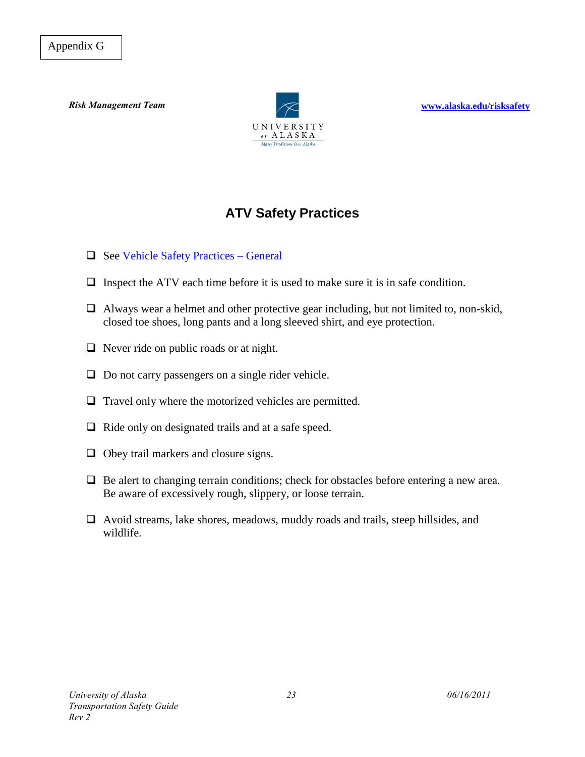

*Risk Management Team* **[www.alaska.edu/risksafety](http://www.alaska.edu/risksafety)** 

# **ATV Safety Practices**

- $\Box$  See Vehicle Safety Practices General
- $\Box$  Inspect the ATV each time before it is used to make sure it is in safe condition.
- $\Box$  Always wear a helmet and other protective gear including, but not limited to, non-skid, closed toe shoes, long pants and a long sleeved shirt, and eye protection.
- $\Box$  Never ride on public roads or at night.
- $\Box$  Do not carry passengers on a single rider vehicle.
- $\Box$  Travel only where the motorized vehicles are permitted.
- $\Box$  Ride only on designated trails and at a safe speed.
- $\Box$  Obey trail markers and closure signs.
- $\Box$  Be alert to changing terrain conditions; check for obstacles before entering a new area. Be aware of excessively rough, slippery, or loose terrain.
- $\Box$  Avoid streams, lake shores, meadows, muddy roads and trails, steep hillsides, and wildlife.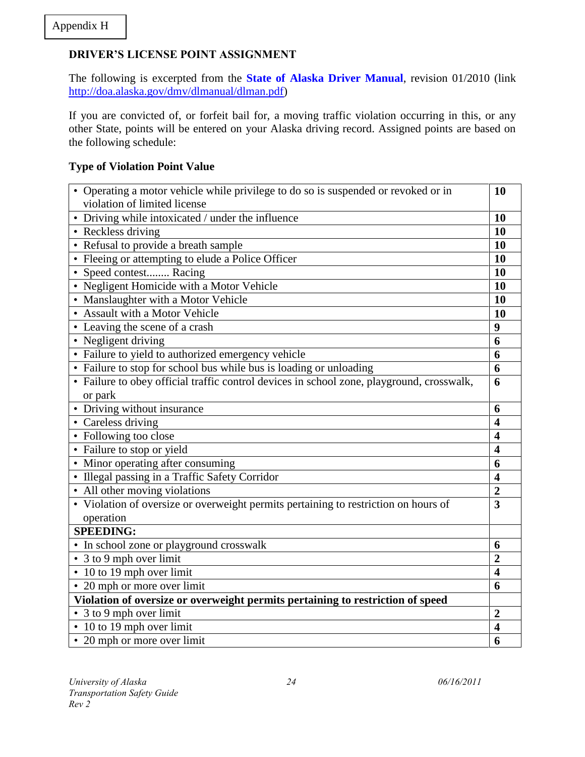### **DRIVER'S LICENSE POINT ASSIGNMENT**

The following is excerpted from the **State of Alaska Driver Manual**, revision 01/2010 (link [http://doa.alaska.gov/dmv/dlmanual/dlman.pdf\)](http://doa.alaska.gov/dmv/dlmanual/dlman.pdf)

If you are convicted of, or forfeit bail for, a moving traffic violation occurring in this, or any other State, points will be entered on your Alaska driving record. Assigned points are based on the following schedule:

### **Type of Violation Point Value**

| • Operating a motor vehicle while privilege to do so is suspended or revoked or in        | 10                      |
|-------------------------------------------------------------------------------------------|-------------------------|
| violation of limited license                                                              |                         |
| • Driving while intoxicated / under the influence                                         | 10                      |
| • Reckless driving                                                                        | 10                      |
| • Refusal to provide a breath sample                                                      | 10                      |
| • Fleeing or attempting to elude a Police Officer                                         | 10                      |
| • Speed contest Racing                                                                    | 10                      |
| • Negligent Homicide with a Motor Vehicle                                                 | 10                      |
| • Manslaughter with a Motor Vehicle                                                       | 10                      |
| • Assault with a Motor Vehicle                                                            | 10                      |
| • Leaving the scene of a crash                                                            | 9                       |
| • Negligent driving                                                                       | 6                       |
| • Failure to yield to authorized emergency vehicle                                        | 6                       |
| • Failure to stop for school bus while bus is loading or unloading                        | 6                       |
| • Failure to obey official traffic control devices in school zone, playground, crosswalk, | 6                       |
| or park                                                                                   |                         |
| • Driving without insurance                                                               | 6                       |
| • Careless driving                                                                        | $\overline{\mathbf{4}}$ |
| • Following too close                                                                     | $\overline{\mathbf{4}}$ |
| • Failure to stop or yield                                                                | $\overline{\mathbf{4}}$ |
| • Minor operating after consuming                                                         | 6                       |
| • Illegal passing in a Traffic Safety Corridor                                            | $\overline{\mathbf{4}}$ |
| • All other moving violations                                                             | $\overline{2}$          |
| • Violation of oversize or overweight permits pertaining to restriction on hours of       | $\overline{\mathbf{3}}$ |
| operation                                                                                 |                         |
| <b>SPEEDING:</b>                                                                          |                         |
| • In school zone or playground crosswalk                                                  | 6                       |
| • 3 to 9 mph over limit                                                                   | $\overline{2}$          |
| • 10 to 19 mph over limit                                                                 | $\overline{\mathbf{4}}$ |
| • 20 mph or more over limit                                                               | 6                       |
| Violation of oversize or overweight permits pertaining to restriction of speed            |                         |
| • 3 to 9 mph over limit                                                                   | $\overline{2}$          |
| • 10 to 19 mph over limit                                                                 | $\overline{\mathbf{4}}$ |
| • 20 mph or more over limit                                                               | 6                       |